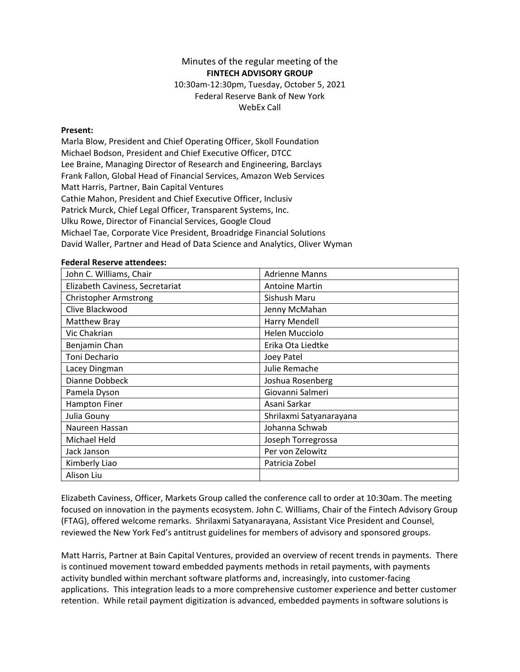## Minutes of the regular meeting of the **FINTECH ADVISORY GROUP**

10:30am-12:30pm, Tuesday, October 5, 2021 Federal Reserve Bank of New York WebEx Call

## **Present:**

Marla Blow, President and Chief Operating Officer, Skoll Foundation Michael Bodson, President and Chief Executive Officer, DTCC Lee Braine, Managing Director of Research and Engineering, Barclays Frank Fallon, Global Head of Financial Services, Amazon Web Services Matt Harris, Partner, Bain Capital Ventures Cathie Mahon, President and Chief Executive Officer, Inclusiv Patrick Murck, Chief Legal Officer, Transparent Systems, Inc. Ulku Rowe, Director of Financial Services, Google Cloud Michael Tae, Corporate Vice President, Broadridge Financial Solutions David Waller, Partner and Head of Data Science and Analytics, Oliver Wyman

## **Federal Reserve attendees:**

| John C. Williams, Chair         | <b>Adrienne Manns</b>   |
|---------------------------------|-------------------------|
| Elizabeth Caviness, Secretariat | <b>Antoine Martin</b>   |
| <b>Christopher Armstrong</b>    | Sishush Maru            |
| Clive Blackwood                 | Jenny McMahan           |
| Matthew Bray                    | Harry Mendell           |
| Vic Chakrian                    | <b>Helen Mucciolo</b>   |
| Benjamin Chan                   | Erika Ota Liedtke       |
| Toni Dechario                   | Joey Patel              |
| Lacey Dingman                   | Julie Remache           |
| Dianne Dobbeck                  | Joshua Rosenberg        |
| Pamela Dyson                    | Giovanni Salmeri        |
| <b>Hampton Finer</b>            | Asani Sarkar            |
| Julia Gouny                     | Shrilaxmi Satyanarayana |
| Naureen Hassan                  | Johanna Schwab          |
| Michael Held                    | Joseph Torregrossa      |
| Jack Janson                     | Per von Zelowitz        |
| Kimberly Liao                   | Patricia Zobel          |
| Alison Liu                      |                         |

Elizabeth Caviness, Officer, Markets Group called the conference call to order at 10:30am. The meeting focused on innovation in the payments ecosystem. John C. Williams, Chair of the Fintech Advisory Group (FTAG), offered welcome remarks. Shrilaxmi Satyanarayana, Assistant Vice President and Counsel, reviewed the New York Fed's antitrust guidelines for members of advisory and sponsored groups.

Matt Harris, Partner at Bain Capital Ventures, provided an overview of recent trends in payments. There is continued movement toward embedded payments methods in retail payments, with payments activity bundled within merchant software platforms and, increasingly, into customer-facing applications. This integration leads to a more comprehensive customer experience and better customer retention. While retail payment digitization is advanced, embedded payments in software solutions is